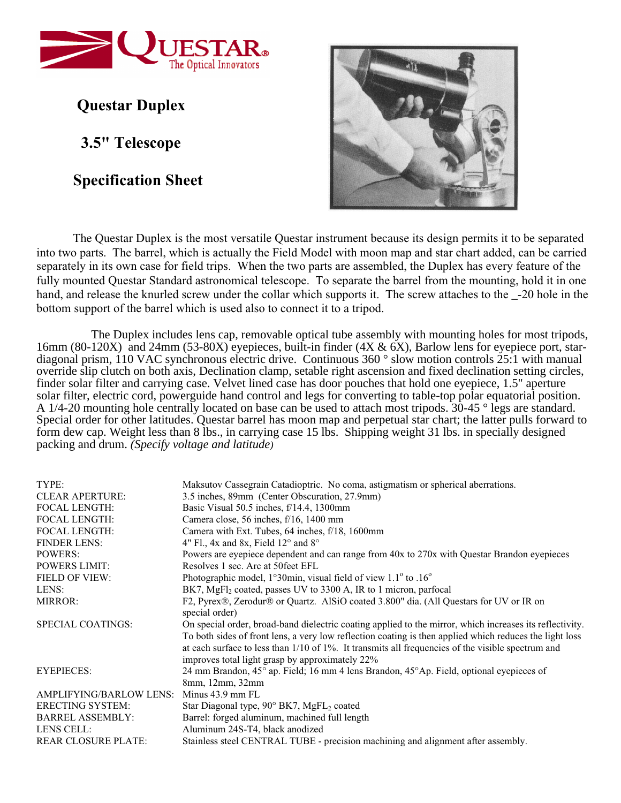

 **Questar Duplex**

 **3.5" Telescope**

**Specification Sheet**



The Questar Duplex is the most versatile Questar instrument because its design permits it to be separated into two parts. The barrel, which is actually the Field Model with moon map and star chart added, can be carried separately in its own case for field trips. When the two parts are assembled, the Duplex has every feature of the fully mounted Questar Standard astronomical telescope. To separate the barrel from the mounting, hold it in one hand, and release the knurled screw under the collar which supports it. The screw attaches to the  $-20$  hole in the bottom support of the barrel which is used also to connect it to a tripod.

The Duplex includes lens cap, removable optical tube assembly with mounting holes for most tripods, 16mm (80-120X) and 24mm (53-80X) eyepieces, built-in finder (4X & 6X), Barlow lens for eyepiece port, stardiagonal prism, 110 VAC synchronous electric drive. Continuous 360 ° slow motion controls 25:1 with manual override slip clutch on both axis, Declination clamp, setable right ascension and fixed declination setting circles, finder solar filter and carrying case. Velvet lined case has door pouches that hold one eyepiece, 1.5" aperture solar filter, electric cord, powerguide hand control and legs for converting to table-top polar equatorial position. A 1/4-20 mounting hole centrally located on base can be used to attach most tripods. 30-45 ° legs are standard. Special order for other latitudes. Questar barrel has moon map and perpetual star chart; the latter pulls forward to form dew cap. Weight less than 8 lbs., in carrying case 15 lbs. Shipping weight 31 lbs. in specially designed packing and drum. *(Specify voltage and latitude)*

| TYPE:                          | Maksutov Cassegrain Catadioptric. No coma, astigmatism or spherical aberrations.                                                                                                                                                                                                                                                                                                  |
|--------------------------------|-----------------------------------------------------------------------------------------------------------------------------------------------------------------------------------------------------------------------------------------------------------------------------------------------------------------------------------------------------------------------------------|
| <b>CLEAR APERTURE:</b>         | 3.5 inches, 89mm (Center Obscuration, 27.9mm)                                                                                                                                                                                                                                                                                                                                     |
| <b>FOCAL LENGTH:</b>           | Basic Visual $50.5$ inches, $f/14.4$ , 1300mm                                                                                                                                                                                                                                                                                                                                     |
| <b>FOCAL LENGTH:</b>           | Camera close, 56 inches, f/16, 1400 mm                                                                                                                                                                                                                                                                                                                                            |
| <b>FOCAL LENGTH:</b>           | Camera with Ext. Tubes, 64 inches, f/18, 1600mm                                                                                                                                                                                                                                                                                                                                   |
| <b>FINDER LENS:</b>            | 4" Fl., 4x and 8x, Field $12^{\circ}$ and $8^{\circ}$                                                                                                                                                                                                                                                                                                                             |
| <b>POWERS:</b>                 | Powers are eyepiece dependent and can range from 40x to 270x with Questar Brandon eyepieces                                                                                                                                                                                                                                                                                       |
| <b>POWERS LIMIT:</b>           | Resolves 1 sec. Arc at 50 feet EFL                                                                                                                                                                                                                                                                                                                                                |
| <b>FIELD OF VIEW:</b>          | Photographic model, $1^{\circ}30$ min, visual field of view $1.1^{\circ}$ to $.16^{\circ}$                                                                                                                                                                                                                                                                                        |
| LENS:                          | BK7, MgFl <sub>2</sub> coated, passes UV to 3300 A, IR to 1 micron, parfocal                                                                                                                                                                                                                                                                                                      |
| <b>MIRROR:</b>                 | F2, Pyrex®, Zerodur® or Quartz. AlSiO coated 3.800" dia. (All Questars for UV or IR on<br>special order)                                                                                                                                                                                                                                                                          |
| SPECIAL COATINGS:              | On special order, broad-band dielectric coating applied to the mirror, which increases its reflectivity.<br>To both sides of front lens, a very low reflection coating is then applied which reduces the light loss<br>at each surface to less than $1/10$ of $1\%$ . It transmits all frequencies of the visible spectrum and<br>improves total light grasp by approximately 22% |
| <b>EYEPIECES:</b>              | 24 mm Brandon, 45° ap. Field; 16 mm 4 lens Brandon, 45° Ap. Field, optional eyepieces of<br>8mm, 12mm, 32mm                                                                                                                                                                                                                                                                       |
| <b>AMPLIFYING/BARLOW LENS:</b> | Minus 43.9 mm FL                                                                                                                                                                                                                                                                                                                                                                  |
| <b>ERECTING SYSTEM:</b>        | Star Diagonal type, 90° BK7, MgFL2 coated                                                                                                                                                                                                                                                                                                                                         |
| <b>BARREL ASSEMBLY:</b>        | Barrel: forged aluminum, machined full length                                                                                                                                                                                                                                                                                                                                     |
| LENS CELL:                     | Aluminum 24S-T4, black anodized                                                                                                                                                                                                                                                                                                                                                   |
| <b>REAR CLOSURE PLATE:</b>     | Stainless steel CENTRAL TUBE - precision machining and alignment after assembly.                                                                                                                                                                                                                                                                                                  |